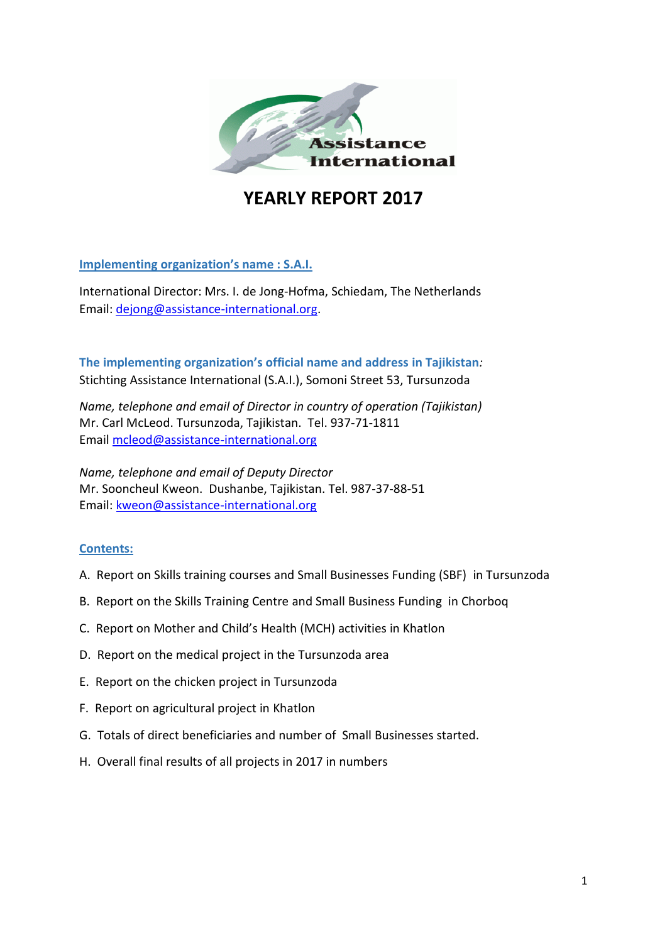

# **YEARLY REPORT 2017**

**Implementing organization's name : S.A.I.**

International Director: Mrs. I. de Jong-Hofma, Schiedam, Тhe Netherlands Email: [dejong@assistance-international.org.](mailto:dejong@assistance-international.org)

**The implementing organization's official name and address in Tajikistan***:* Stichting Assistance International (S.A.I.), Somoni Street 53, Tursunzoda

*Name, telephone and email of Director in country of operation (Tajikistan)* Mr. Carl McLeod. Tursunzoda, Tajikistan. Tel. 937-71-1811 Email [mcleod@assistance-international.org](mailto:mcleod@assistance-international.org) 

*Name, telephone and email of Deputy Director* Mr. Sooncheul Kweon. Dushanbe, Tajikistan. Tel. 987-37-88-51 Email: [kweon@assistance-international.org](mailto:kweon@assistance-international.org) 

#### **Contents:**

- A. Report on Skills training courses and Small Businesses Funding (SBF) in Tursunzoda
- B. Report on the Skills Training Centre and Small Business Funding in Chorboq
- C. Report on Mother and Child's Health (MCH) activities in Khatlon
- D. Report on the medical project in the Tursunzoda area
- E. Report on the chicken project in Tursunzoda
- F. Report on agricultural project in Khatlon
- G. Totals of direct beneficiaries and number of Small Businesses started.
- H. Overall final results of all projects in 2017 in numbers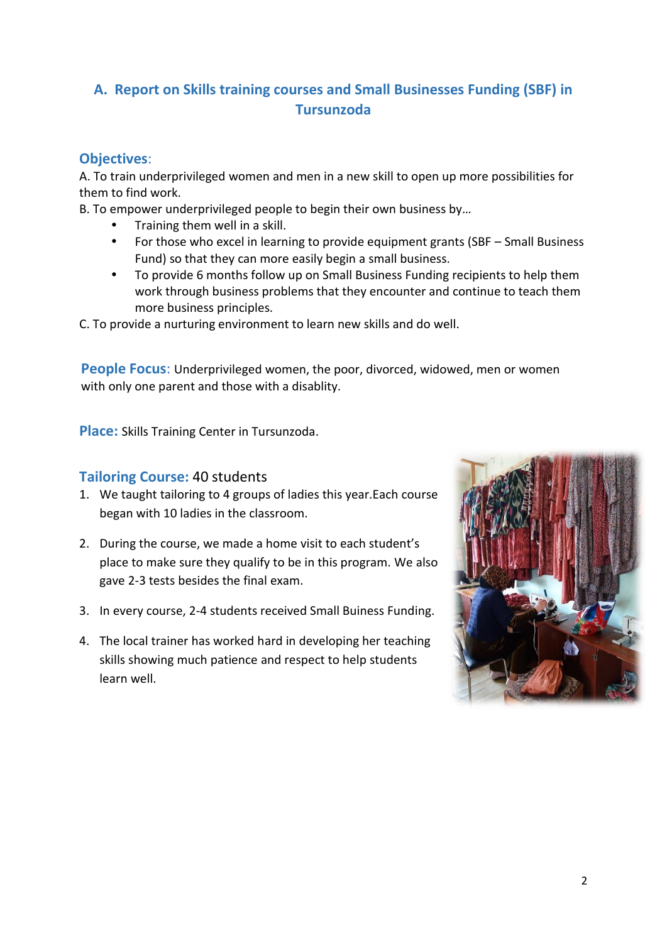# **A. Report on Skills training courses and Small Businesses Funding (SBF) in Tursunzoda**

# **Objectives**:

A. To train underprivileged women and men in a new skill to open up more possibilities for them to find work.

B. To empower underprivileged people to begin their own business by…

- Training them well in a skill.
- For those who excel in learning to provide equipment grants (SBF Small Business Fund) so that they can more easily begin a small business.
- To provide 6 months follow up on Small Business Funding recipients to help them work through business problems that they encounter and continue to teach them more business principles.

C. To provide a nurturing environment to learn new skills and do well.

**People Focus**: Underprivileged women, the poor, divorced, widowed, men or women with only one parent and those with a disablity.

**Place:** Skills Training Center in Tursunzoda.

#### **Tailoring Course:** 40 students

- 1. We taught tailoring to 4 groups of ladies this year.Each course began with 10 ladies in the classroom.
- 2. During the course, we made a home visit to each student's place to make sure they qualify to be in this program. We also gave 2-3 tests besides the final exam.
- 3. In every course, 2-4 students received Small Buiness Funding.
- 4. The local trainer has worked hard in developing her teaching skills showing much patience and respect to help students learn well.

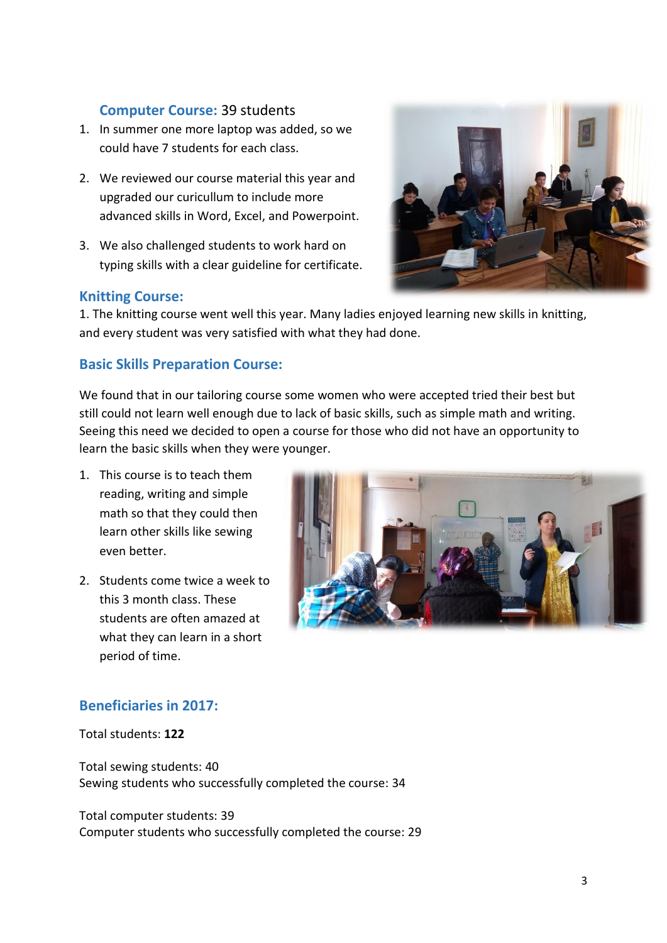## **Computer Course:** 39 students

- 1. In summer one more laptop was added, so we could have 7 students for each class.
- 2. We reviewed our course material this year and upgraded our curicullum to include more advanced skills in Word, Excel, and Powerpoint.
- 3. We also challenged students to work hard on typing skills with a clear guideline for certificate.

#### **Knitting Course:**

1. The knitting course went well this year. Many ladies enjoyed learning new skills in knitting, and every student was very satisfied with what they had done.

## **Basic Skills Preparation Course:**

We found that in our tailoring course some women who were accepted tried their best but still could not learn well enough due to lack of basic skills, such as simple math and writing. Seeing this need we decided to open a course for those who did not have an opportunity to learn the basic skills when they were younger.

- 1. This course is to teach them reading, writing and simple math so that they could then learn other skills like sewing even better.
- 2. Students come twice a week to this 3 month class. These students are often amazed at what they can learn in a short period of time.



# **Beneficiaries in 2017:**

Total students: **122**

Total sewing students: 40 Sewing students who successfully completed the course: 34

Total computer students: 39 Computer students who successfully completed the course: 29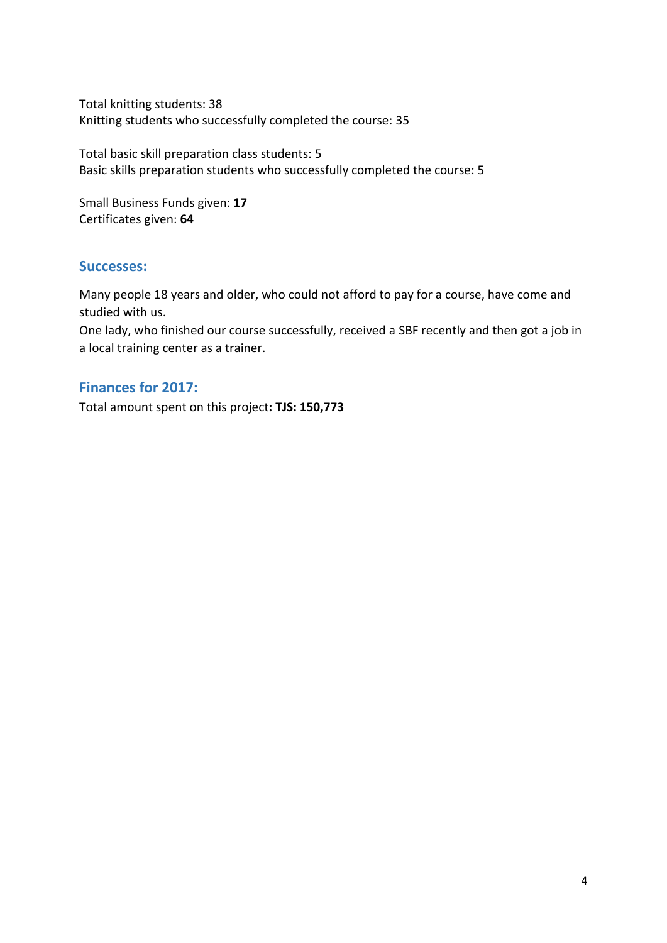Total knitting students: 38 Knitting students who successfully completed the course: 35

Total basic skill preparation class students: 5 Basic skills preparation students who successfully completed the course: 5

Small Business Funds given: **17** Certificates given: **64**

#### **Successes:**

Many people 18 years and older, who could not afford to pay for a course, have come and studied with us.

One lady, who finished our course successfully, received a SBF recently and then got a job in a local training center as a trainer.

## **Finances for 2017:**

Total amount spent on this project**: TJS: 150,773**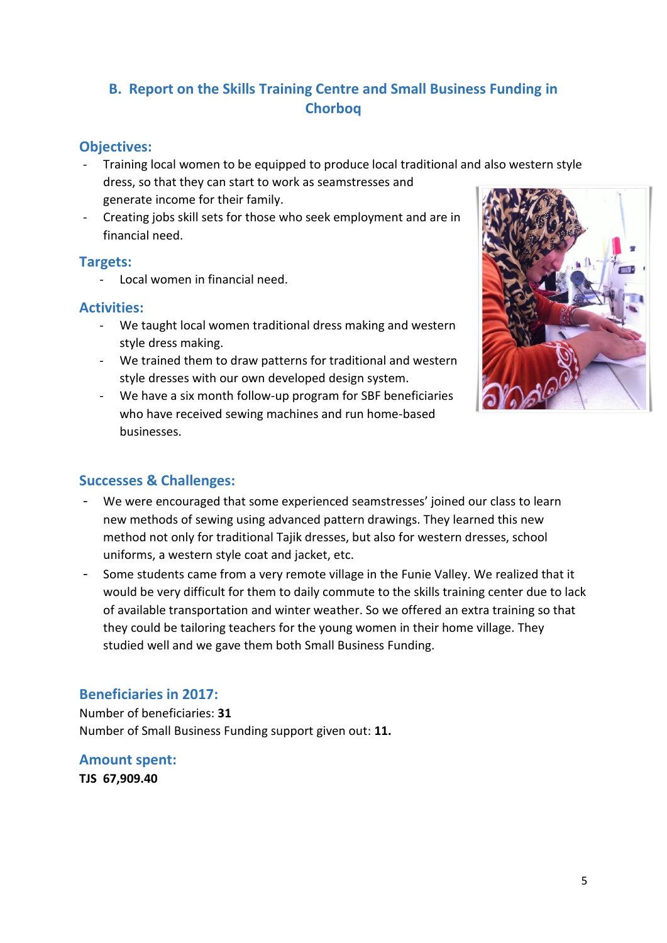# **B. Report on the Skills Training Centre and Small Business Funding in Chorboq**

# **Objectives:**

- Training local women to be equipped to produce local traditional and also western style dress, so that they can start to work as seamstresses and generate income for their family.
- Creating jobs skill sets for those who seek employment and are in financial need.

#### **Targets:**

- Local women in financial need.

# **Activities:**

- We taught local women traditional dress making and western style dress making.
- We trained them to draw patterns for traditional and western style dresses with our own developed design system.
- We have a six month follow-up program for SBF beneficiaries who have received sewing machines and run home-based businesses.



# **Successes & Challenges:**

- We were encouraged that some experienced seamstresses' joined our class to learn new methods of sewing using advanced pattern drawings. They learned this new method not only for traditional Tajik dresses, but also for western dresses, school uniforms, a western style coat and jacket, etc.
- Some students came from a very remote village in the Funie Valley. We realized that it would be very difficult for them to daily commute to the skills training center due to lack of available transportation and winter weather. So we offered an extra training so that they could be tailoring teachers for the young women in their home village. They studied well and we gave them both Small Business Funding.

# **Beneficiaries in 2017:**

Number of beneficiaries: **31** Number of Small Business Funding support given out: **11.**

# **Amount spent:**

**TJS 67,909.40**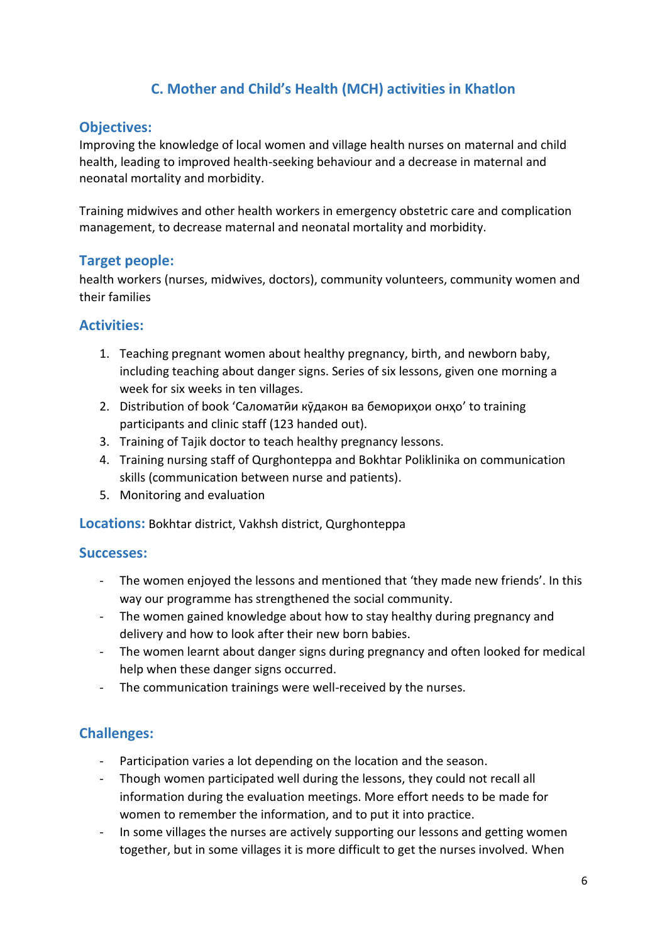# **C. Mother and Child's Health (MCH) activities in Khatlon**

#### **Objectives:**

Improving the knowledge of local women and village health nurses on maternal and child health, leading to improved health-seeking behaviour and a decrease in maternal and neonatal mortality and morbidity.

Training midwives and other health workers in emergency obstetric care and complication management, to decrease maternal and neonatal mortality and morbidity.

#### **Target people:**

health workers (nurses, midwives, doctors), community volunteers, community women and their families

# **Activities:**

- 1. Teaching pregnant women about healthy pregnancy, birth, and newborn baby, including teaching about danger signs. Series of six lessons, given one morning a week for six weeks in ten villages.
- 2. Distribution of book 'Саломатии кудакон ва беморихои онхо' to training participants and clinic staff (123 handed out).
- 3. Training of Tajik doctor to teach healthy pregnancy lessons.
- 4. Training nursing staff of Qurghonteppa and Bokhtar Poliklinika on communication skills (communication between nurse and patients).
- 5. Monitoring and evaluation

**Locations:** Bokhtar district, Vakhsh district, Qurghonteppa

#### **Successes:**

- The women enjoyed the lessons and mentioned that 'they made new friends'. In this way our programme has strengthened the social community.
- The women gained knowledge about how to stay healthy during pregnancy and delivery and how to look after their new born babies.
- The women learnt about danger signs during pregnancy and often looked for medical help when these danger signs occurred.
- The communication trainings were well-received by the nurses.

# **Challenges:**

- Participation varies a lot depending on the location and the season.
- Though women participated well during the lessons, they could not recall all information during the evaluation meetings. More effort needs to be made for women to remember the information, and to put it into practice.
- In some villages the nurses are actively supporting our lessons and getting women together, but in some villages it is more difficult to get the nurses involved. When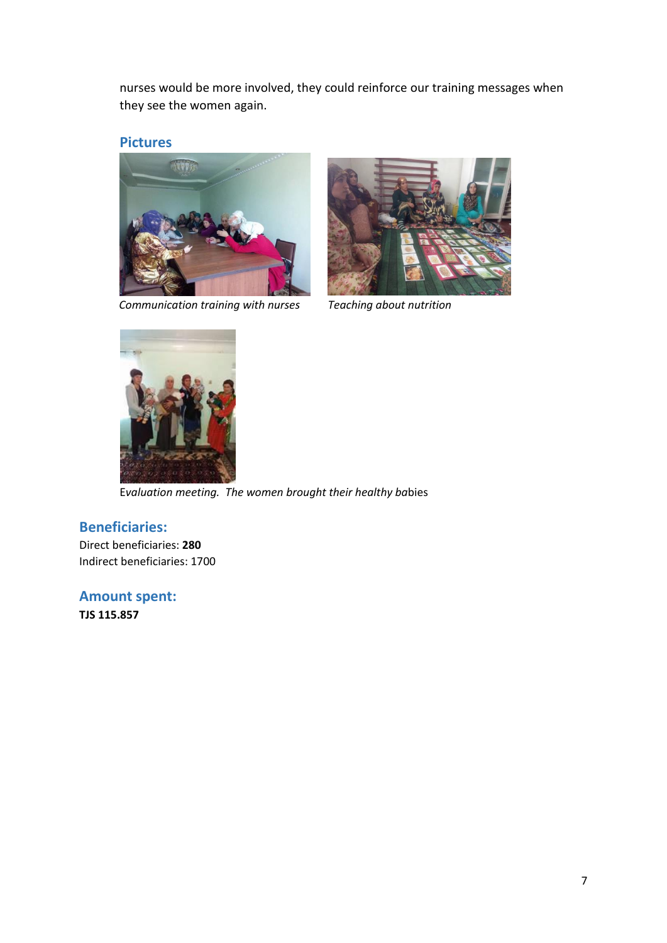nurses would be more involved, they could reinforce our training messages when they see the women again.

#### **Pictures**



 *Communication training with nurses Teaching about nutrition*





E*valuation meeting. The women brought their healthy ba*bies

#### **Beneficiaries:**

Direct beneficiaries: **280** Indirect beneficiaries: 1700

**Amount spent:**

**TJS 115.857**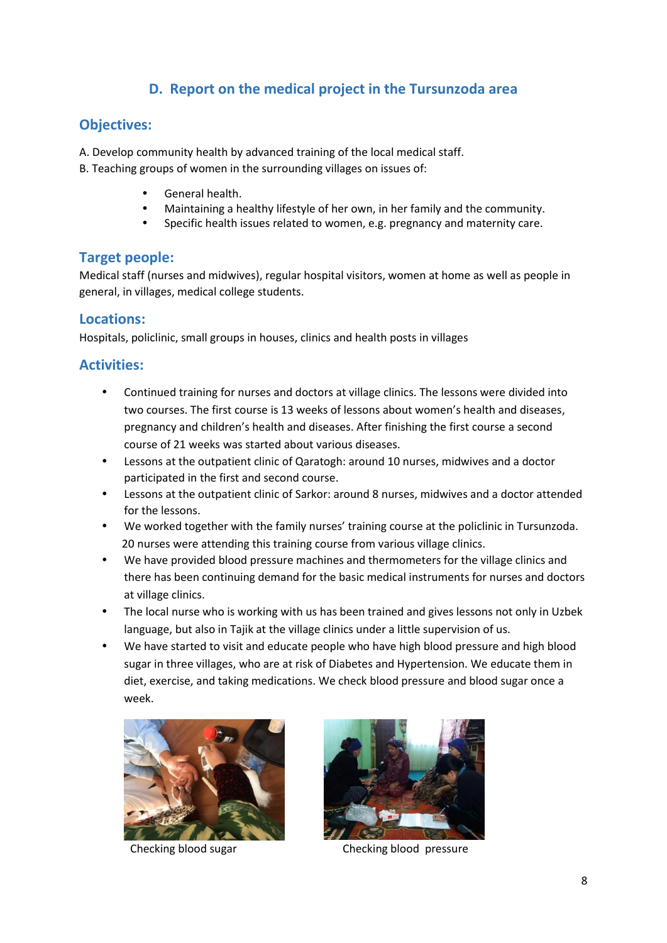# **D. Report on the medical project in the Tursunzoda area**

#### **Objectives:**

A. Develop community health by advanced training of the local medical staff.

B. Teaching groups of women in the surrounding villages on issues of:

- General health.
- Maintaining a healthy lifestyle of her own, in her family and the community.
- Specific health issues related to women, e.g. pregnancy and maternity care.

#### **Target people:**

Medical staff (nurses and midwives), regular hospital visitors, women at home as well as people in general, in villages, medical college students.

#### **Locations:**

Hospitals, policlinic, small groups in houses, clinics and health posts in villages

## **Activities:**

- Continued training for nurses and doctors at village clinics. The lessons were divided into two courses. The first course is 13 weeks of lessons about women's health and diseases, pregnancy and children's health and diseases. After finishing the first course a second course of 21 weeks was started about various diseases.
- Lessons at the outpatient clinic of Qaratogh: around 10 nurses, midwives and a doctor participated in the first and second course.
- Lessons at the outpatient clinic of Sarkor: around 8 nurses, midwives and a doctor attended for the lessons.
- We worked together with the family nurses' training course at the policlinic in Tursunzoda. 20 nurses were attending this training course from various village clinics.
- We have provided blood pressure machines and thermometers for the village clinics and there has been continuing demand for the basic medical instruments for nurses and doctors at village clinics.
- The local nurse who is working with us has been trained and gives lessons not only in Uzbek language, but also in Tajik at the village clinics under a little supervision of us.
- We have started to visit and educate people who have high blood pressure and high blood sugar in three villages, who are at risk of Diabetes and Hypertension. We educate them in diet, exercise, and taking medications. We check blood pressure and blood sugar once a week.





Checking blood sugar Checking blood pressure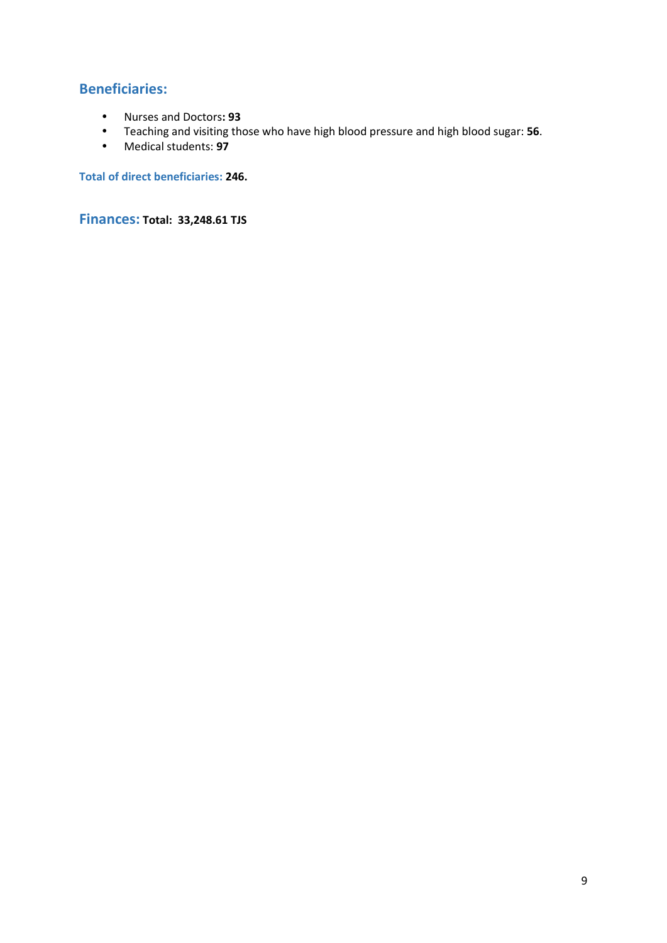# **Beneficiaries:**

- Nurses and Doctors**: 93**
- Teaching and visiting those who have high blood pressure and high blood sugar: **56**.
- Medical students: **97**

**Total of direct beneficiaries: 246.**

**Finances: Total: 33,248.61 TJS**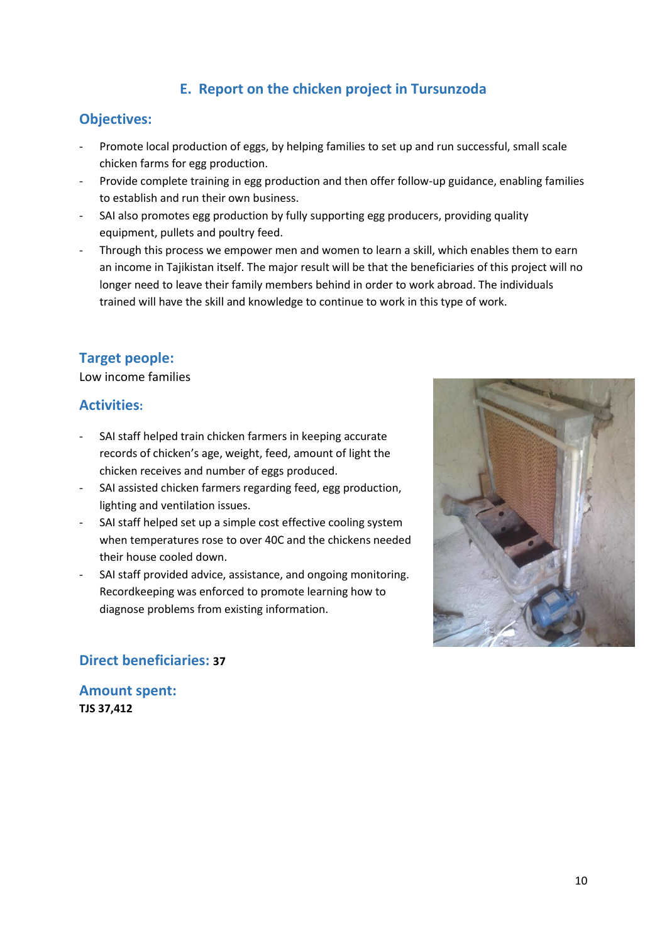# **E. Report on the chicken project in Tursunzoda**

#### **Objectives:**

- Promote local production of eggs, by helping families to set up and run successful, small scale chicken farms for egg production.
- Provide complete training in egg production and then offer follow-up guidance, enabling families to establish and run their own business.
- SAI also promotes egg production by fully supporting egg producers, providing quality equipment, pullets and poultry feed.
- Through this process we empower men and women to learn a skill, which enables them to earn an income in Tajikistan itself. The major result will be that the beneficiaries of this project will no longer need to leave their family members behind in order to work abroad. The individuals trained will have the skill and knowledge to continue to work in this type of work.

# **Target people:**

Low income families

#### **Activities:**

- SAI staff helped train chicken farmers in keeping accurate records of chicken's age, weight, feed, amount of light the chicken receives and number of eggs produced.
- SAI assisted chicken farmers regarding feed, egg production, lighting and ventilation issues.
- SAI staff helped set up a simple cost effective cooling system when temperatures rose to over 40C and the chickens needed their house cooled down.
- SAI staff provided advice, assistance, and ongoing monitoring. Recordkeeping was enforced to promote learning how to diagnose problems from existing information.



## **Direct beneficiaries: 37**

**Amount spent: TJS 37,412**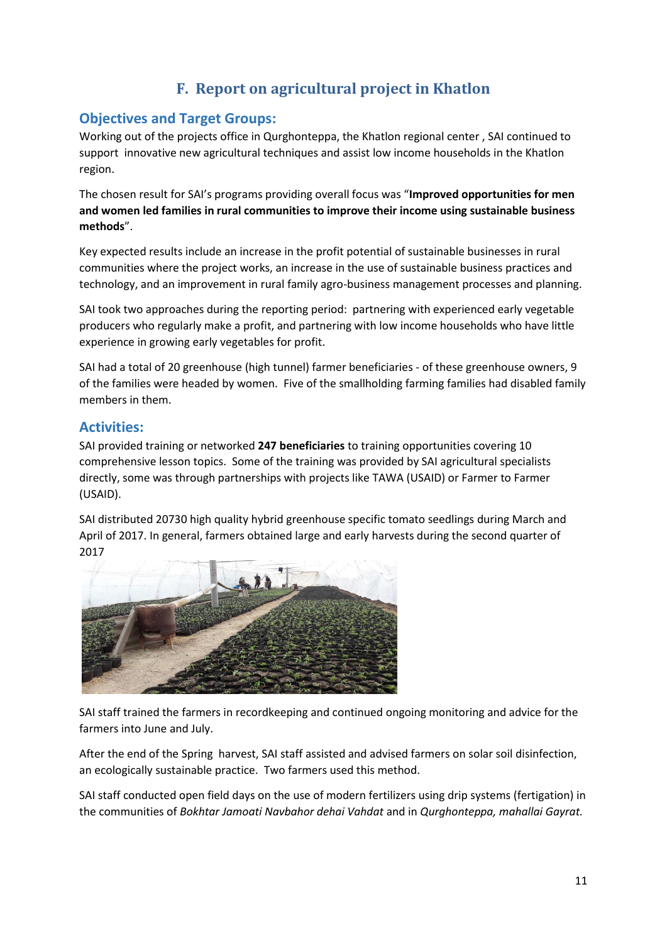# **F. Report on agricultural project in Khatlon**

#### **Objectives and Target Groups:**

Working out of the projects office in Qurghonteppa, the Khatlon regional center , SAI continued to support innovative new agricultural techniques and assist low income households in the Khatlon region.

The chosen result for SAI's programs providing overall focus was "**Improved opportunities for men and women led families in rural communities to improve their income using sustainable business methods**".

Key expected results include an increase in the profit potential of sustainable businesses in rural communities where the project works, an increase in the use of sustainable business practices and technology, and an improvement in rural family agro-business management processes and planning.

SAI took two approaches during the reporting period: partnering with experienced early vegetable producers who regularly make a profit, and partnering with low income households who have little experience in growing early vegetables for profit.

SAI had a total of 20 greenhouse (high tunnel) farmer beneficiaries - of these greenhouse owners, 9 of the families were headed by women. Five of the smallholding farming families had disabled family members in them.

#### **Activities:**

SAI provided training or networked **247 beneficiaries** to training opportunities covering 10 comprehensive lesson topics. Some of the training was provided by SAI agricultural specialists directly, some was through partnerships with projects like TAWA (USAID) or Farmer to Farmer (USAID).

SAI distributed 20730 high quality hybrid greenhouse specific tomato seedlings during March and April of 2017. In general, farmers obtained large and early harvests during the second quarter of 2017



SAI staff trained the farmers in recordkeeping and continued ongoing monitoring and advice for the farmers into June and July.

After the end of the Spring harvest, SAI staff assisted and advised farmers on solar soil disinfection, an ecologically sustainable practice. Two farmers used this method.

SAI staff conducted open field days on the use of modern fertilizers using drip systems (fertigation) in the communities of *Bokhtar Jamoati Navbahor dehai Vahdat* and in *Qurghonteppa, mahallai Gayrat.*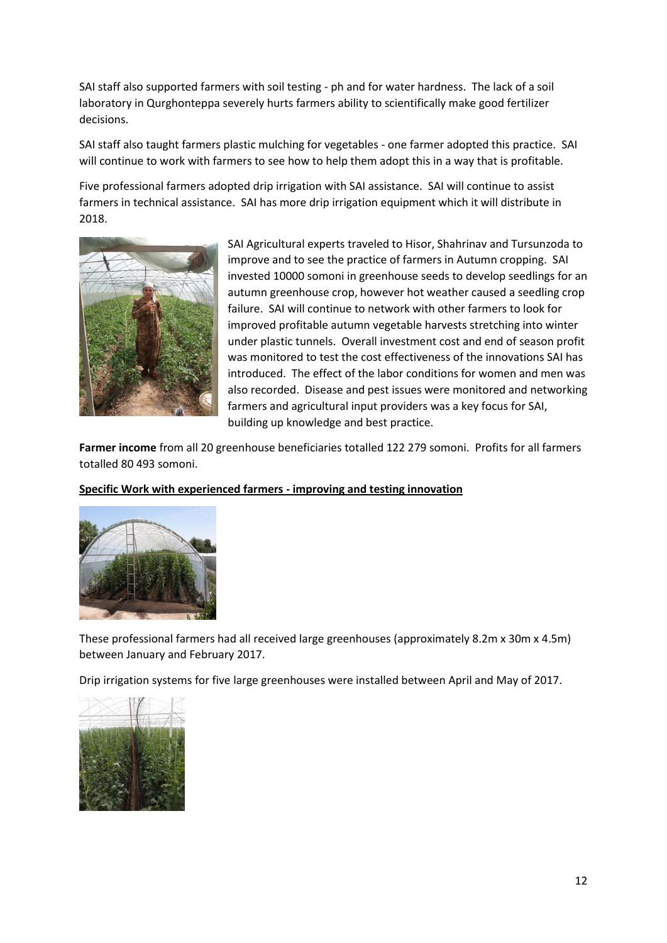SAI staff also supported farmers with soil testing - ph and for water hardness. The lack of a soil laboratory in Qurghonteppa severely hurts farmers ability to scientifically make good fertilizer decisions.

SAI staff also taught farmers plastic mulching for vegetables - one farmer adopted this practice. SAI will continue to work with farmers to see how to help them adopt this in a way that is profitable.

Five professional farmers adopted drip irrigation with SAI assistance. SAI will continue to assist farmers in technical assistance. SAI has more drip irrigation equipment which it will distribute in 2018.



SAI Agricultural experts traveled to Hisor, Shahrinav and Tursunzoda to improve and to see the practice of farmers in Autumn cropping. SAI invested 10000 somoni in greenhouse seeds to develop seedlings for an autumn greenhouse crop, however hot weather caused a seedling crop failure. SAI will continue to network with other farmers to look for improved profitable autumn vegetable harvests stretching into winter under plastic tunnels. Overall investment cost and end of season profit was monitored to test the cost effectiveness of the innovations SAI has introduced. The effect of the labor conditions for women and men was also recorded. Disease and pest issues were monitored and networking farmers and agricultural input providers was a key focus for SAI, building up knowledge and best practice.

**Farmer income** from all 20 greenhouse beneficiaries totalled 122 279 somoni. Profits for all farmers totalled 80 493 somoni.

#### **Specific Work with experienced farmers - improving and testing innovation**



These professional farmers had all received large greenhouses (approximately 8.2m x 30m x 4.5m) between January and February 2017.

Drip irrigation systems for five large greenhouses were installed between April and May of 2017.

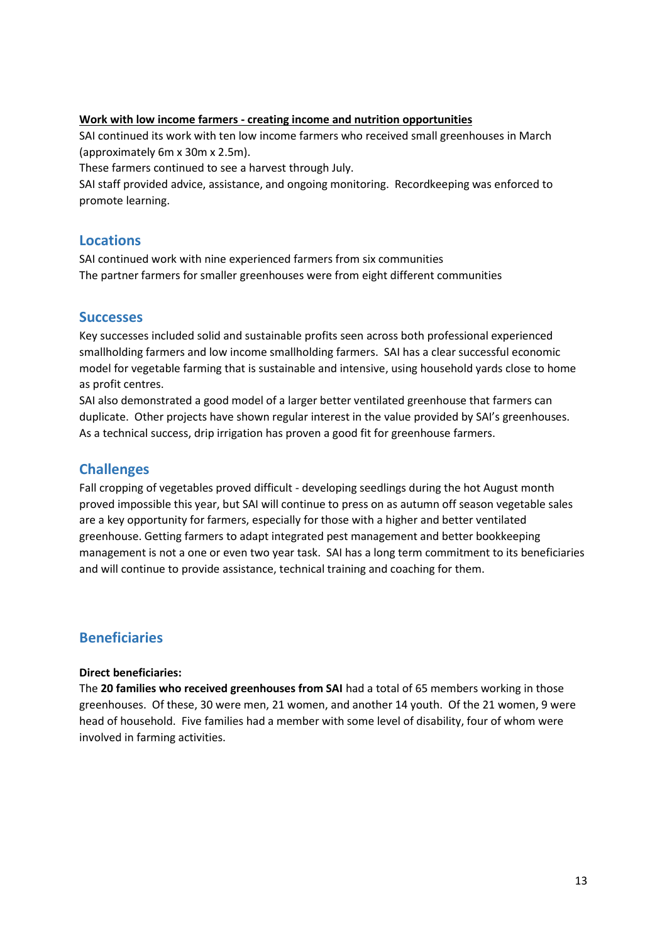#### **Work with low income farmers - creating income and nutrition opportunities**

SAI continued its work with ten low income farmers who received small greenhouses in March (approximately 6m x 30m x 2.5m).

These farmers continued to see a harvest through July.

SAI staff provided advice, assistance, and ongoing monitoring. Recordkeeping was enforced to promote learning.

#### **Locations**

SAI continued work with nine experienced farmers from six communities The partner farmers for smaller greenhouses were from eight different communities

#### **Successes**

Key successes included solid and sustainable profits seen across both professional experienced smallholding farmers and low income smallholding farmers. SAI has a clear successful economic model for vegetable farming that is sustainable and intensive, using household yards close to home as profit centres.

SAI also demonstrated a good model of a larger better ventilated greenhouse that farmers can duplicate. Other projects have shown regular interest in the value provided by SAI's greenhouses. As a technical success, drip irrigation has proven a good fit for greenhouse farmers.

#### **Challenges**

Fall cropping of vegetables proved difficult - developing seedlings during the hot August month proved impossible this year, but SAI will continue to press on as autumn off season vegetable sales are a key opportunity for farmers, especially for those with a higher and better ventilated greenhouse. Getting farmers to adapt integrated pest management and better bookkeeping management is not a one or even two year task. SAI has a long term commitment to its beneficiaries and will continue to provide assistance, technical training and coaching for them.

#### **Beneficiaries**

#### **Direct beneficiaries:**

The **20 families who received greenhouses from SAI** had a total of 65 members working in those greenhouses. Of these, 30 were men, 21 women, and another 14 youth. Of the 21 women, 9 were head of household. Five families had a member with some level of disability, four of whom were involved in farming activities.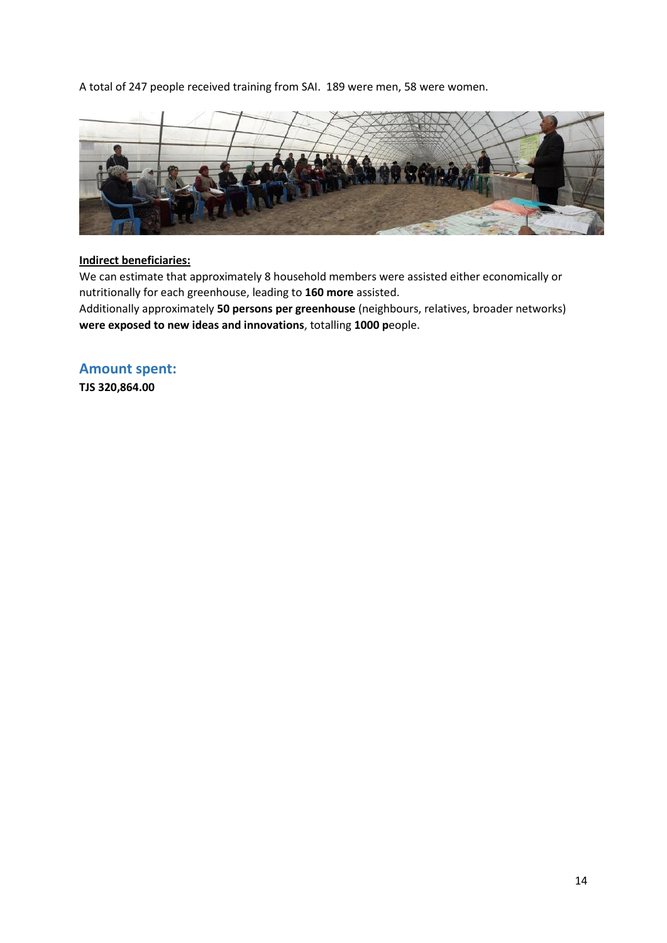A total of 247 people received training from SAI. 189 were men, 58 were women.



#### **Indirect beneficiaries:**

We can estimate that approximately 8 household members were assisted either economically or nutritionally for each greenhouse, leading to **160 more** assisted.

Additionally approximately **50 persons per greenhouse** (neighbours, relatives, broader networks) **were exposed to new ideas and innovations**, totalling **1000 p**eople.

**Amount spent: TJS 320,864.00**